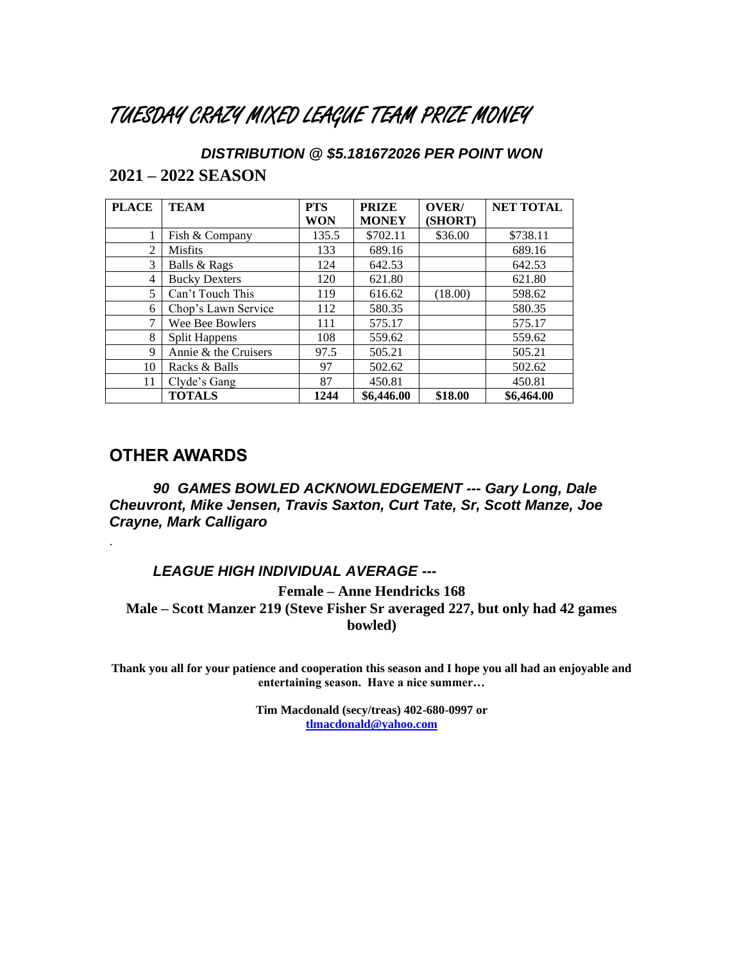### TUESDAY CRAZY MIXED LEAGUE TEAM PRIZE MONEY

*DISTRIBUTION @ \$5.181672026 PER POINT WON* **2021 – 2022 SEASON**

| <b>PLACE</b> | <b>TEAM</b>          | <b>PTS</b> | <b>PRIZE</b> | OVER/   | <b>NET TOTAL</b> |
|--------------|----------------------|------------|--------------|---------|------------------|
|              |                      | WON        | <b>MONEY</b> | (SHORT) |                  |
|              | Fish & Company       | 135.5      | \$702.11     | \$36.00 | \$738.11         |
| 2            | <b>Misfits</b>       | 133        | 689.16       |         | 689.16           |
| 3            | Balls & Rags         | 124        | 642.53       |         | 642.53           |
| 4            | <b>Bucky Dexters</b> | 120        | 621.80       |         | 621.80           |
| 5            | Can't Touch This     | 119        | 616.62       | (18.00) | 598.62           |
| 6            | Chop's Lawn Service  | 112        | 580.35       |         | 580.35           |
| 7            | Wee Bee Bowlers      | 111        | 575.17       |         | 575.17           |
| 8            | Split Happens        | 108        | 559.62       |         | 559.62           |
| 9            | Annie & the Cruisers | 97.5       | 505.21       |         | 505.21           |
| 10           | Racks & Balls        | 97         | 502.62       |         | 502.62           |
| 11           | Clyde's Gang         | 87         | 450.81       |         | 450.81           |
|              | <b>TOTALS</b>        | 1244       | \$6,446.00   | \$18.00 | \$6,464.00       |

#### **OTHER AWARDS**

.

*90 GAMES BOWLED ACKNOWLEDGEMENT --- Gary Long, Dale Cheuvront, Mike Jensen, Travis Saxton, Curt Tate, Sr, Scott Manze, Joe Crayne, Mark Calligaro*

*LEAGUE HIGH INDIVIDUAL AVERAGE ---*

**Female – Anne Hendricks 168 Male – Scott Manzer 219 (Steve Fisher Sr averaged 227, but only had 42 games bowled)**

**Thank you all for your patience and cooperation this season and I hope you all had an enjoyable and entertaining season. Have a nice summer…**

> **Tim Macdonald (secy/treas) 402-680-0997 or [tlmacdonald@yahoo.com](file:///D:/tlmacdonald@yahoo.com)**